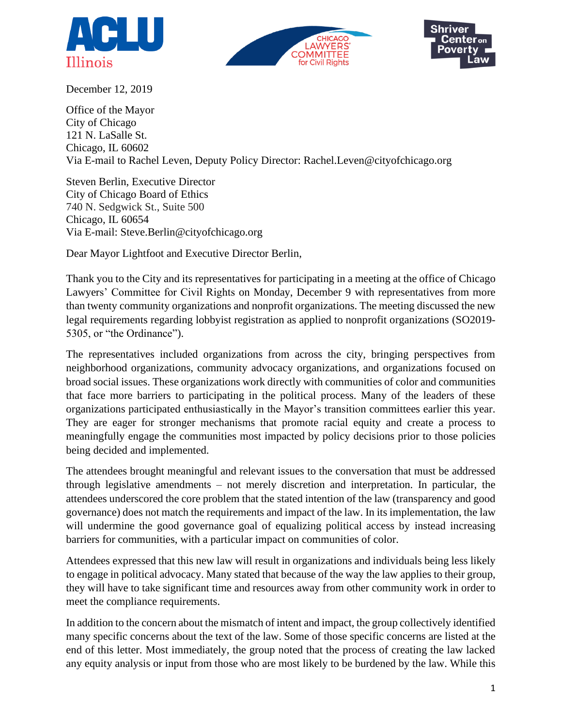





December 12, 2019

Office of the Mayor City of Chicago 121 N. LaSalle St. Chicago, IL 60602 Via E-mail to Rachel Leven, Deputy Policy Director: Rachel.Leven@cityofchicago.org

Steven Berlin, Executive Director City of Chicago Board of Ethics 740 N. Sedgwick St., Suite 500 Chicago, IL 60654 Via E-mail: Steve.Berlin@cityofchicago.org

Dear Mayor Lightfoot and Executive Director Berlin,

Thank you to the City and its representatives for participating in a meeting at the office of Chicago Lawyers' Committee for Civil Rights on Monday, December 9 with representatives from more than twenty community organizations and nonprofit organizations. The meeting discussed the new legal requirements regarding lobbyist registration as applied to nonprofit organizations (SO2019- 5305, or "the Ordinance").

The representatives included organizations from across the city, bringing perspectives from neighborhood organizations, community advocacy organizations, and organizations focused on broad social issues. These organizations work directly with communities of color and communities that face more barriers to participating in the political process. Many of the leaders of these organizations participated enthusiastically in the Mayor's transition committees earlier this year. They are eager for stronger mechanisms that promote racial equity and create a process to meaningfully engage the communities most impacted by policy decisions prior to those policies being decided and implemented.

The attendees brought meaningful and relevant issues to the conversation that must be addressed through legislative amendments – not merely discretion and interpretation. In particular, the attendees underscored the core problem that the stated intention of the law (transparency and good governance) does not match the requirements and impact of the law. In its implementation, the law will undermine the good governance goal of equalizing political access by instead increasing barriers for communities, with a particular impact on communities of color.

Attendees expressed that this new law will result in organizations and individuals being less likely to engage in political advocacy. Many stated that because of the way the law applies to their group, they will have to take significant time and resources away from other community work in order to meet the compliance requirements.

In addition to the concern about the mismatch of intent and impact, the group collectively identified many specific concerns about the text of the law. Some of those specific concerns are listed at the end of this letter. Most immediately, the group noted that the process of creating the law lacked any equity analysis or input from those who are most likely to be burdened by the law. While this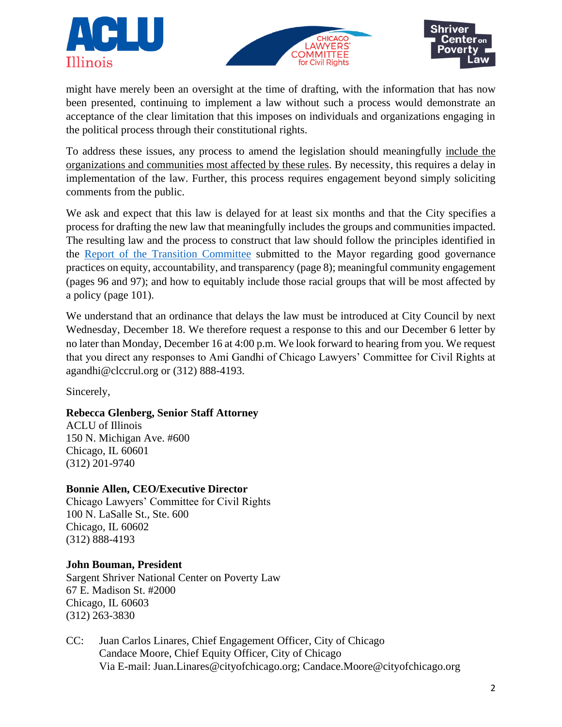





might have merely been an oversight at the time of drafting, with the information that has now been presented, continuing to implement a law without such a process would demonstrate an acceptance of the clear limitation that this imposes on individuals and organizations engaging in the political process through their constitutional rights.

To address these issues, any process to amend the legislation should meaningfully include the organizations and communities most affected by these rules. By necessity, this requires a delay in implementation of the law. Further, this process requires engagement beyond simply soliciting comments from the public.

We ask and expect that this law is delayed for at least six months and that the City specifies a process for drafting the new law that meaningfully includes the groups and communities impacted. The resulting law and the process to construct that law should follow the principles identified in the [Report of the Transition Committee](https://www.chicago.gov/content/dam/city/depts/mayor/TransitionReport/TransitionReport.5.16.2019.pdf) submitted to the Mayor regarding good governance practices on equity, accountability, and transparency (page 8); meaningful community engagement (pages 96 and 97); and how to equitably include those racial groups that will be most affected by a policy (page 101).

We understand that an ordinance that delays the law must be introduced at City Council by next Wednesday, December 18. We therefore request a response to this and our December 6 letter by no later than Monday, December 16 at 4:00 p.m. We look forward to hearing from you. We request that you direct any responses to Ami Gandhi of Chicago Lawyers' Committee for Civil Rights at agandhi@clccrul.org or (312) 888-4193.

Sincerely,

## **Rebecca Glenberg, Senior Staff Attorney**

ACLU of Illinois 150 N. Michigan Ave. #600 Chicago, IL 60601 (312) 201-9740

## **Bonnie Allen, CEO/Executive Director**

Chicago Lawyers' Committee for Civil Rights 100 N. LaSalle St., Ste. 600 Chicago, IL 60602 (312) 888-4193

## **John Bouman, President**

Sargent Shriver National Center on Poverty Law 67 E. Madison St. #2000 Chicago, IL 60603 (312) 263-3830

CC: Juan Carlos Linares, Chief Engagement Officer, City of Chicago Candace Moore, Chief Equity Officer, City of Chicago Via E-mail: Juan.Linares@cityofchicago.org; Candace.Moore@cityofchicago.org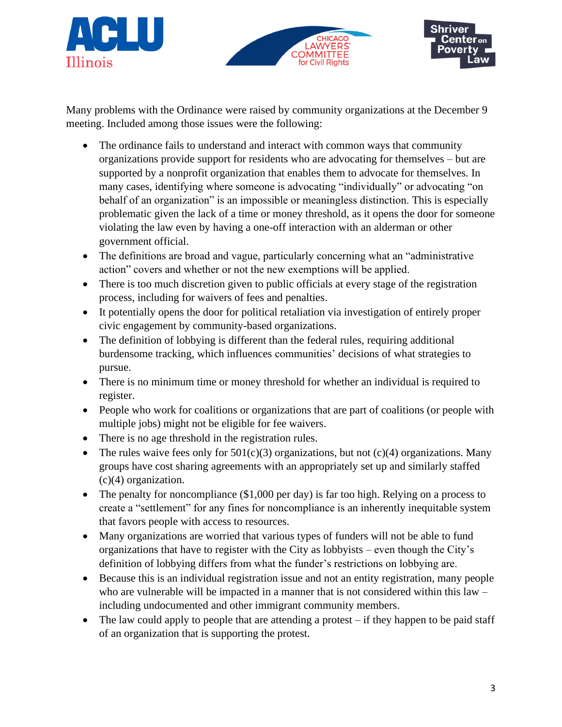





Many problems with the Ordinance were raised by community organizations at the December 9 meeting. Included among those issues were the following:

- The ordinance fails to understand and interact with common ways that community organizations provide support for residents who are advocating for themselves – but are supported by a nonprofit organization that enables them to advocate for themselves. In many cases, identifying where someone is advocating "individually" or advocating "on behalf of an organization" is an impossible or meaningless distinction. This is especially problematic given the lack of a time or money threshold, as it opens the door for someone violating the law even by having a one-off interaction with an alderman or other government official.
- The definitions are broad and vague, particularly concerning what an "administrative" action" covers and whether or not the new exemptions will be applied.
- There is too much discretion given to public officials at every stage of the registration process, including for waivers of fees and penalties.
- It potentially opens the door for political retaliation via investigation of entirely proper civic engagement by community-based organizations.
- The definition of lobbying is different than the federal rules, requiring additional burdensome tracking, which influences communities' decisions of what strategies to pursue.
- There is no minimum time or money threshold for whether an individual is required to register.
- People who work for coalitions or organizations that are part of coalitions (or people with multiple jobs) might not be eligible for fee waivers.
- There is no age threshold in the registration rules.
- The rules waive fees only for  $501(c)(3)$  organizations, but not  $(c)(4)$  organizations. Many groups have cost sharing agreements with an appropriately set up and similarly staffed (c)(4) organization.
- The penalty for noncompliance (\$1,000 per day) is far too high. Relying on a process to create a "settlement" for any fines for noncompliance is an inherently inequitable system that favors people with access to resources.
- Many organizations are worried that various types of funders will not be able to fund organizations that have to register with the City as lobbyists – even though the City's definition of lobbying differs from what the funder's restrictions on lobbying are.
- Because this is an individual registration issue and not an entity registration, many people who are vulnerable will be impacted in a manner that is not considered within this law – including undocumented and other immigrant community members.
- The law could apply to people that are attending a protest  $-$  if they happen to be paid staff of an organization that is supporting the protest.